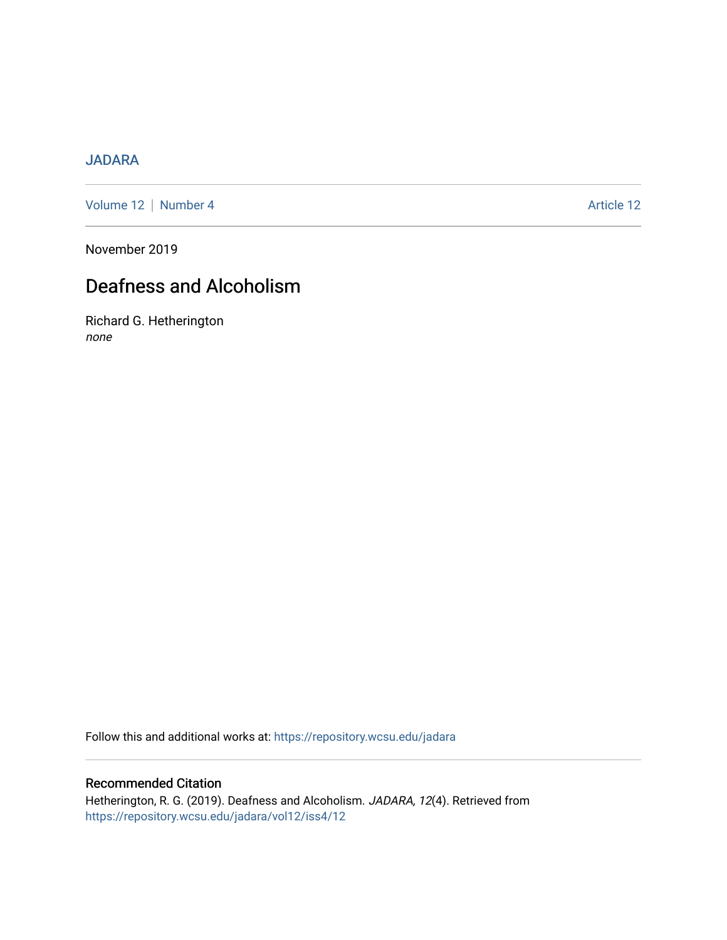## [JADARA](https://repository.wcsu.edu/jadara)

[Volume 12](https://repository.wcsu.edu/jadara/vol12) | [Number 4](https://repository.wcsu.edu/jadara/vol12/iss4) Article 12

November 2019

# Deafness and Alcoholism

Richard G. Hetherington none

Follow this and additional works at: [https://repository.wcsu.edu/jadara](https://repository.wcsu.edu/jadara?utm_source=repository.wcsu.edu%2Fjadara%2Fvol12%2Fiss4%2F12&utm_medium=PDF&utm_campaign=PDFCoverPages)

## Recommended Citation

Hetherington, R. G. (2019). Deafness and Alcoholism. JADARA, 12(4). Retrieved from [https://repository.wcsu.edu/jadara/vol12/iss4/12](https://repository.wcsu.edu/jadara/vol12/iss4/12?utm_source=repository.wcsu.edu%2Fjadara%2Fvol12%2Fiss4%2F12&utm_medium=PDF&utm_campaign=PDFCoverPages)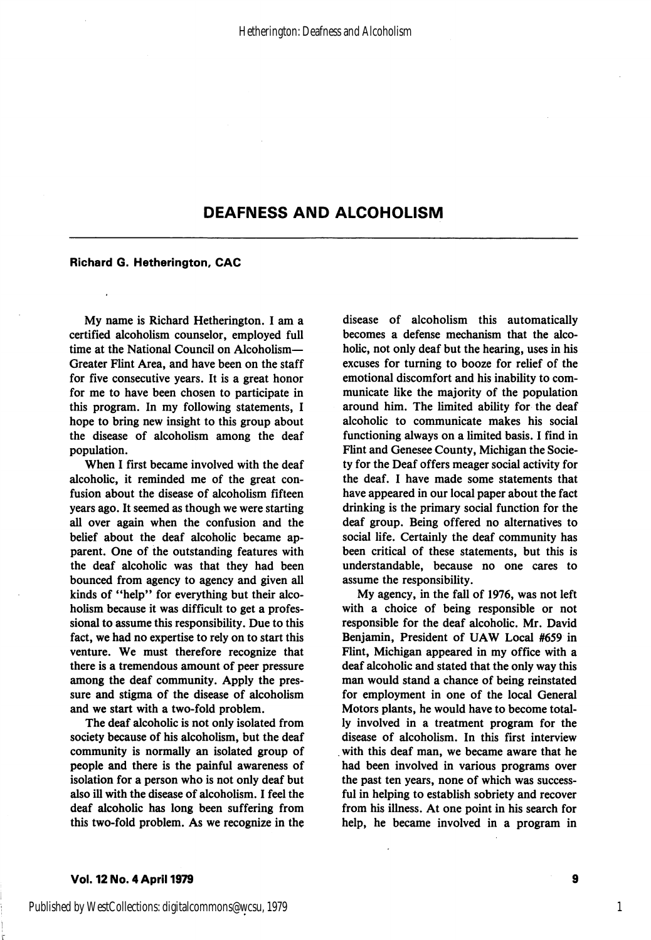## DEAFNESS AND ALCOHOLISM

#### Richard G. Hetherington, CAC

My name is Richard Hetherington. 1 am a certified alcoholism counselor, employed full time at the National Council on Alcoholism-Greater Flint Area, and have been on the staff for five consecutive years. It is a great honor for me to have been chosen to participate in this program. In my following statements, I hope to bring new insight to this group about the disease of alcoholism among the deaf population.

When I first became involved with the deaf alcoholic, it reminded me of the great con fusion about the disease of alcoholism fifteen years ago. It seemed as though we were starting all over again when the confusion and the belief about the deaf alcoholic became ap parent. One of the outstanding features with the deaf alcoholic was that they had been bounced from agency to agency and given all kinds of "help" for everything but their alco holism because it was difticult to get a profes sional to assume this responsibility. Due to this fact, we had no expertise to rely on to start this venture. We must therefore recognize that there is a tremendous amount of peer pressure among the deaf community. Apply the pres sure and stigma of the disease of alcoholism and we start with a two-fold problem.

The deaf alcoholic is not only isolated from society because of his alcoholism, but the deaf community is normally an isolated group of people and there is the painful awareness of isolation for a person who is not only deaf but also ill with the disease of alcoholism. I feel the deaf alcoholic has long been suffering from this two-fold problem. As we recognize in the

disease of alcoholism this automatically becomes a defense mechanism that the alco holic, not only deaf but the hearing, uses in his excuses for turning to booze for relief of the emotional discomfort and his inability to com municate like the majority of the population around him. The limited ability for the deaf alcoholic to communicate makes his social functioning always on a limited basis. I find in Flint and Genesee County, Michigan the Socie ty for the Deaf offers meager social activity for the deaf. I have made some statements that have appeared in our local paper about the fact drinking is the primary social function for the deaf group. Being offered no alternatives to social life. Certainly the deaf community has been critical of these statements, but this is understandable, because no one cares to assume the responsibility.

My agency, in the fall of 1976, was not left with a choice of being responsible or not responsible for the deaf alcoholic. Mr. David Benjamin, President of UAW Local #659 in Flint, Michigan appeared in my office with a deaf alcoholic and stated that the only way this man would stand a chance of being reinstated for employment in one of the local General Motors plants, he would have to become total ly involved in a treatment program for the disease of alcoholism. In this first interview with this deaf man, we became aware that he had been involved in various programs over the past ten years, none of which was success ful in helping to establish sobriety and recover from his illness. At one point in his search for help, he became involved in a program in

#### Vol. 12 No. 4 April 1979

9

1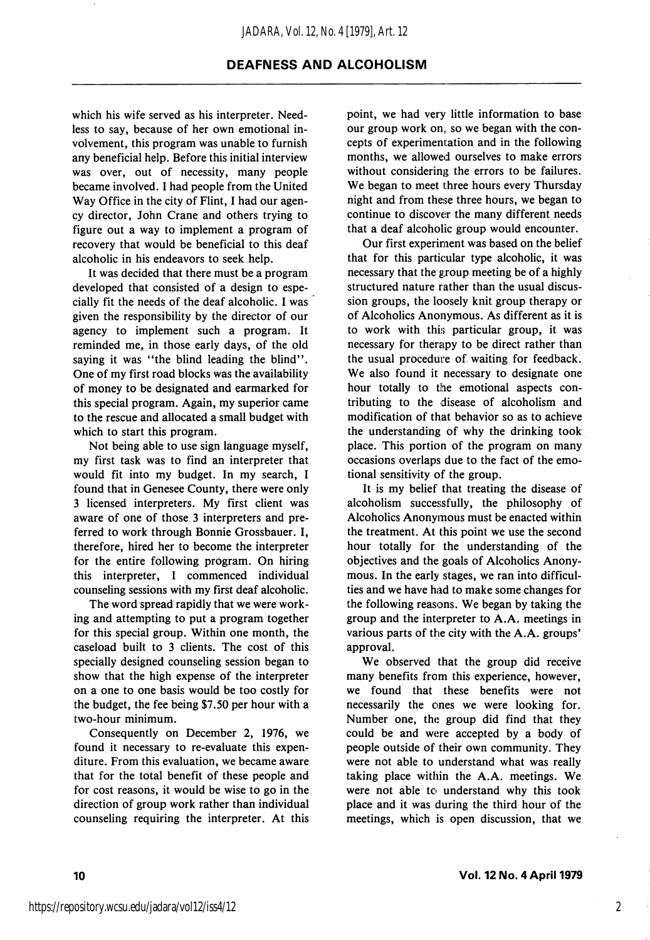### DEAFNESS AND ALCOHOLISM

which his wife served as his interpreter. Needless to say, because of her own emotional in volvement, this program was unable to furnish any beneficial help. Before this initial interview was over, out of necessity, many people became involved. I had people from the United Way Office in the city of Flint, I had our agen cy director, John Crane and others trying to figure out a way to implement a program of recovery that would be beneficial to this deaf alcoholic in his endeavors to seek help.

It was decided that there must be a program developed that consisted of a design to espe cially fit the needs of the deaf alcoholic. I was given the responsibility by the director of our agency to implement such a program. It reminded me, in those early days, of the old saying it was "the blind leading the blind". One of my first road blocks was the availability of money to be designated and earmarked for this special program. Again, my superior came to the rescue and allocated a small budget with which to start this program.

Not being able to use sign language myself, my first task was to find an interpreter that would fit into my budget. In my search, I found that in Genesee County, there were only 3 licensed interpreters. My first client was aware of one of those 3 interpreters and pre ferred to work through Bonnie Grossbauer. I, therefore, hired her to become the interpreter for the entire following program. On hiring this interpreter, I commenced individual counseling sessions with my first deaf alcoholic.

The word spread rapidly that we were work ing and attempting to put a program together for this special group. Within one month, the caseload built to 3 clients. The cost of this specially designed counseling session began to show that the high expense of the interpreter on a one to one basis would be too costly for the budget, the fee being \$7.50 per hour with a two-hour minimum.

Consequently on December 2, 1976, we found it necessary to re-evaluate this expen diture. From this evaluation, we became aware that for the total benefit of these people and for cost reasons, it would be wise to go in the direction of group work rather than individual counseling requiring the interpreter. At this

point, we had very little information to base our group work on, so we began with the con cepts of experimentation and in the following months, we allowed ourselves to make errors without considering the errors to be failures. We began to meet three hours every Thursday night and from these three hours, we began to continue to discover the many different needs that a deaf alcoholic group would encounter.

Our first experiment was based on the belief that for this particular type alcoholic, it was necessary that the group meeting be of a highly structured nature rather than the usual discus sion groups, the loosely knit group therapy or of Alcoholics Anonymous. As different as it is to work with this particular group, it was necessary for therapy to be direct rather than the usual procedure of waiting for feedback. We also found it necessary to designate one hour totally to the emotional aspects con tributing to the disease of alcoholism and modification of that behavior so as to achieve the understanding of why the drinking took place. This portion of the program on many occasions overlaps due to the fact of the emo tional sensitivity of the group.

It is my belief that treating the disease of alcoholism successfully, the philosophy of Alcoholics Anonymous must be enacted within the treatment. At this point we use the second hour totally for the understanding of the objectives and the goals of Alcoholics Anony mous. In the early stages, we ran into difficul ties and we have had to make some changes for the following reasons. We began by taking the group and the interpreter to A.A. meetings in various parts of the city with the A.A. groups' approval.

We observed that the group did receive many benefits from this experience, however, we found that these benefits were not necessarily the ones we were looking for. Number one, the group did find that they could be and were accepted by a body of people outside of their own community. They were not able to understand what was really taking place within the A.A. meetings. We were not able to understand why this took place and it was during the third hour of the meetings, which is open discussion, that we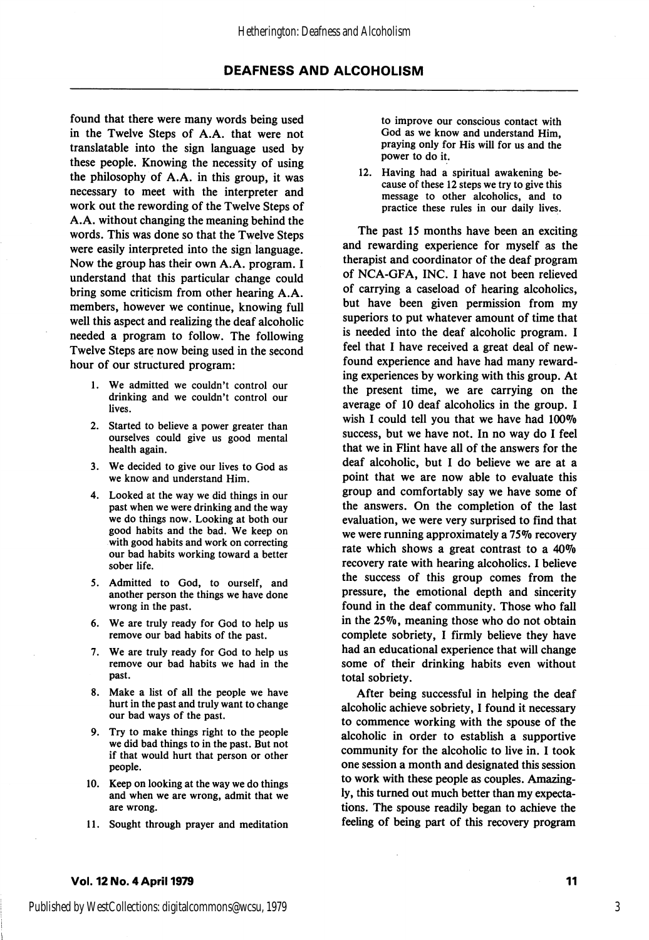found that there were many words being used in the Twelve Steps of A.A. that were not translatable into the sign language used by these people. Knowing the necessity of using the philosophy of A.A. in this group, it was necessary to meet with the interpreter and work out the rewording of the Twelve Steps of A.A. without changing the meaning behind the words. This was done so that the Twelve Steps were easily interpreted into the sign language. Now the group has their own A.A. program. I understand that this particular change could bring some criticism from other hearing A.A. members, however we continue, knowing full well this aspect and realizing the deaf alcoholic needed a program to follow. The following Twelve Steps are now being used in the second hour of our structured program:

- 1. We admitted we couldn't control our drinking and we couldn't control our lives.
- 2. Started to believe a power greater than ourselves could give us good mental health again.
- 3. We decided to give our lives to God as we know and understand Him.
- 4. Looked at the way we did things in our past when we were drinking and the way we do things now. Looking at both our good habits and the bad. We keep on with good habits and work on correcting our bad habits working toward a better sober life.
- 5. Admitted to God, to ourself, and another person the things we have done wrong in the past.
- 6. We are truly ready for God to help us remove our bad habits of the past.
- 7. We are truly ready for God to help us remove our bad habits we had in the past.
- 8. Make a list of all the people we have hurt in the past and truly want to change our bad ways of the past.
- 9. Try to make things right to the people we did bad things to in the past. But not if that would hurt that person or other people.
- 10. Keep on looking at the way we do things and when we are wrong, admit that we are wrong.
- 11. Sought through prayer and meditation

to improve our conscious contact with God as we know and understand Him, praying only for His will for us and the power to do it.

12. Having had a spiritual awakening be cause of these 12 steps we try to give this message to other alcoholics, and to practice these rules in our daily lives.

The past 15 months have been an exciting and rewarding experience for myself as the therapist and coordinator of the deaf program of NCA-GFA, INC. I have not been relieved of carrying a caseload of hearing alcoholics, but have been given permission from my superiors to put whatever amount of time that is needed into the deaf alcoholic program. I feel that I have received a great deal of new found experience and have had many reward ing experiences by working with this group. At the present time, we are carrying on the average of 10 deaf alcoholics in the group. I wish I could tell you that we have had  $100\%$ success, but we have not. In no way do I feel that we in Flint have all of the answers for the deaf alcoholic, but I do believe we are at a point that we are now able to evaluate this group and comfortably say we have some of the answers. On the completion of the last evaluation, we were very surprised to find that we were running approximately a 75% recovery rate which shows a great contrast to a 40% recovery rate with hearing alcoholics. I believe the success of this group comes from the pressure, the emotional depth and sincerity found in the deaf community. Those who fall in the 25%, meaning those who do not obtain complete sobriety, I firmly believe they have had an educational experience that will change some of their drinking habits even without total sobriety.

After being successful in helping the deaf alcoholic achieve sobriety, I found it necessary to commence working with the spouse of the alcoholic in order to establish a supportive community for the alcoholic to live in. I took one session a month and designated this session to work with these people as couples. Amazing ly, this turned out much better than my expecta tions. The spouse readily began to achieve the feeling of being part of this recovery program

#### Vol. 12 No. 4 April 1979 <sup>11</sup>